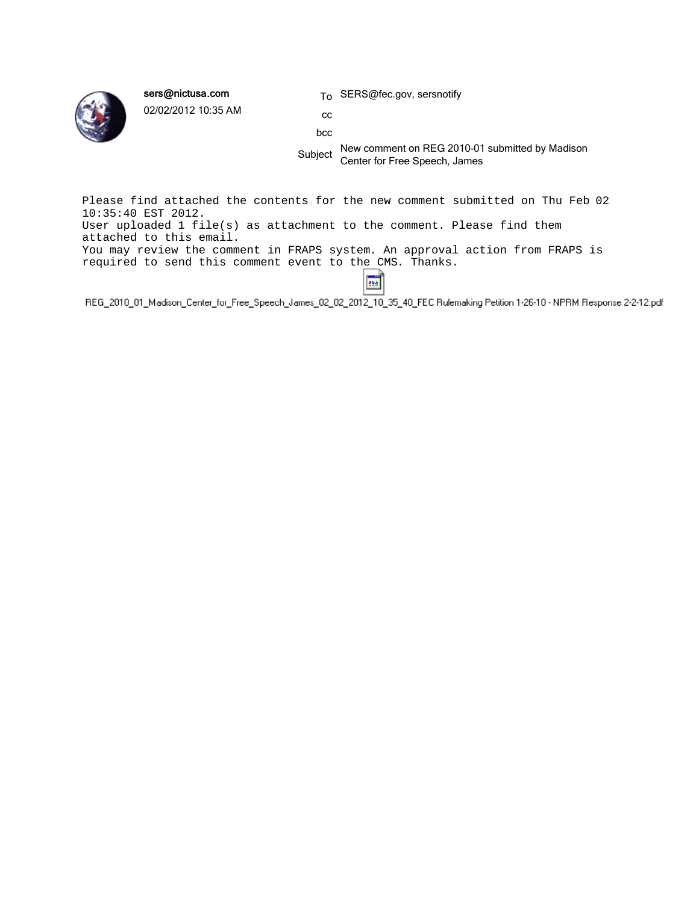

sers@nictusa.com

02/02/2012 10:35 AM

To SERS@fec.gov, sersnotify

cc bcc

Subject New comment on REG 2010-01 submitted by Madison Center for Free Speech, James

Please find attached the contents for the new comment submitted on Thu Feb 02 10:35:40 EST 2012. User uploaded 1 file(s) as attachment to the comment. Please find them attached to this email. You may review the comment in FRAPS system. An approval action from FRAPS is required to send this comment event to the CMS. Thanks.

 $\overline{\phantom{a}}$ REG\_2010\_01\_Madison\_Center\_for\_Free\_Speech\_James\_02\_02\_2012\_10\_35\_40\_FEC Rulemaking Petition 1-26-10 - NPRM Response 2-2-12.pdf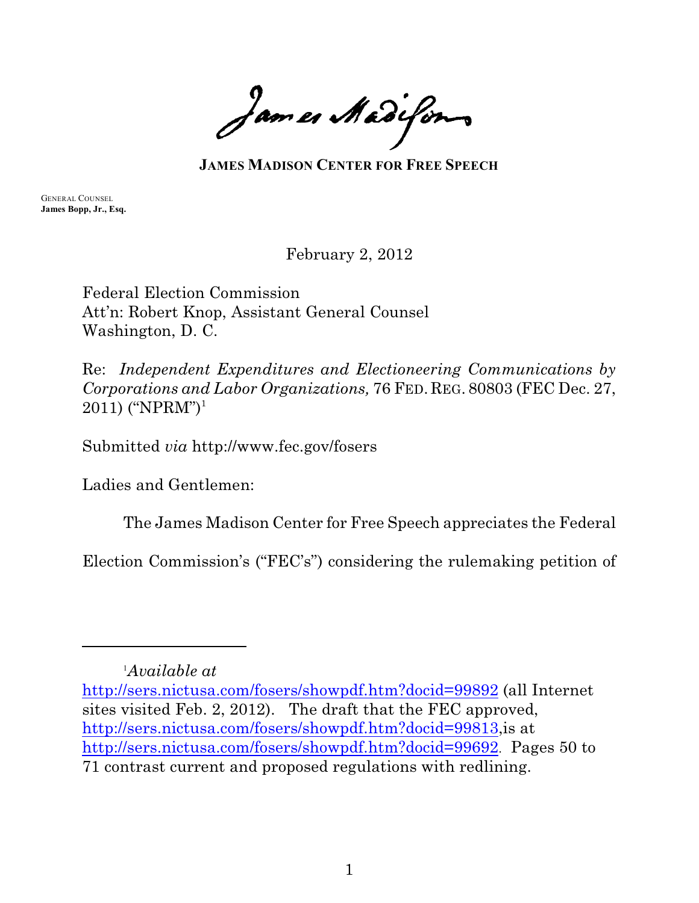James Madifons

**JAMES MADISON CENTER FOR FREE SPEECH**

GENERAL COUNSEL **James Bopp, Jr., Esq.**

February 2, 2012

Federal Election Commission Att'n: Robert Knop, Assistant General Counsel Washington, D. C.

Re: *Independent Expenditures and Electioneering Communications by Corporations and Labor Organizations,* 76 FED.REG. 80803 (FEC Dec. 27,  $2011$ ) ("NPRM")<sup>1</sup>

Submitted *via* http://www.fec.gov/fosers

Ladies and Gentlemen:

The James Madison Center for Free Speech appreciates the Federal

Election Commission's ("FEC's") considering the rulemaking petition of

*Available at* <sup>1</sup>

<http://sers.nictusa.com/fosers/showpdf.htm?docid=99892> (all Internet sites visited Feb. 2, 2012). The draft that the FEC approved, <http://sers.nictusa.com/fosers/showpdf.htm?docid=99813>,is at <http://sers.nictusa.com/fosers/showpdf.htm?docid=99692>. Pages 50 to 71 contrast current and proposed regulations with redlining.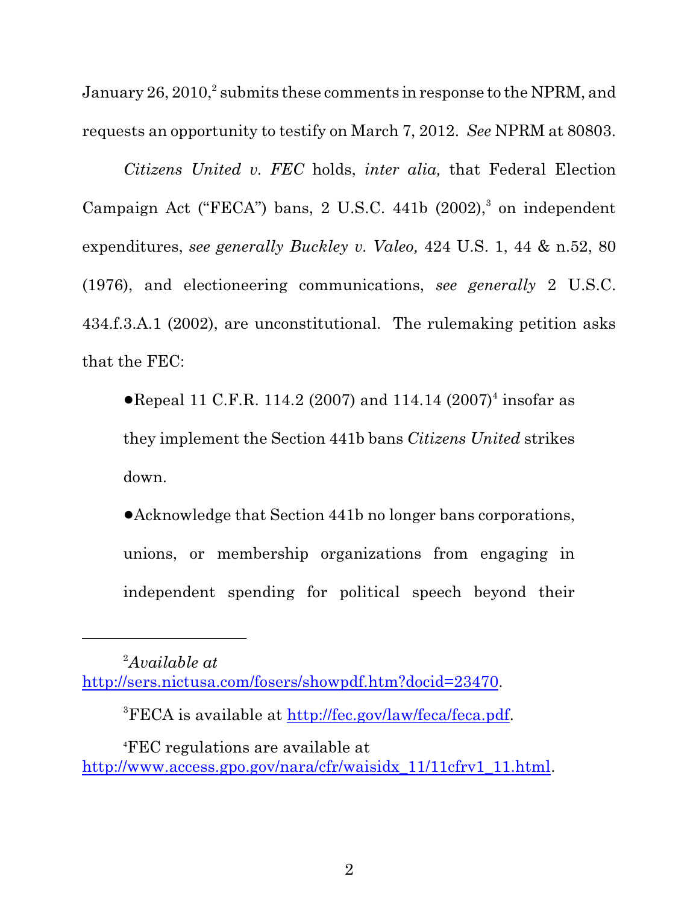January  $26, 2010$ , submits these comments in response to the NPRM, and requests an opportunity to testify on March 7, 2012. *See* NPRM at 80803.

*Citizens United v. FEC* holds, *inter alia,* that Federal Election Campaign Act ("FECA") bans, 2 U.S.C. 441b  $(2002)$ ,  $\delta$  on independent expenditures, *see generally Buckley v. Valeo,* 424 U.S. 1, 44 & n.52, 80 (1976), and electioneering communications, *see generally* 2 U.S.C. 434.f.3.A.1 (2002), are unconstitutional. The rulemaking petition asks that the FEC:

• Repeal 11 C.F.R. 114.2 (2007) and 114.14 (2007)<sup>4</sup> insofar as they implement the Section 441b bans *Citizens United* strikes down.

!Acknowledge that Section 441b no longer bans corporations, unions, or membership organizations from engaging in independent spending for political speech beyond their

<sup>&</sup>lt;sup>2</sup>*Available at* <http://sers.nictusa.com/fosers/showpdf.htm?docid=23470>.

<sup>&</sup>lt;sup>3</sup>FECA is available at <http://fec.gov/law/feca/feca.pdf>.

 $\rm ^{4}FEC$  regulations are available at [http://www.access.gpo.gov/nara/cfr/waisidx\\_11/11cfrv1\\_11.html](http://www.access.gpo.gov/nara/cfr/waisidx_11/11cfrv1_11.html).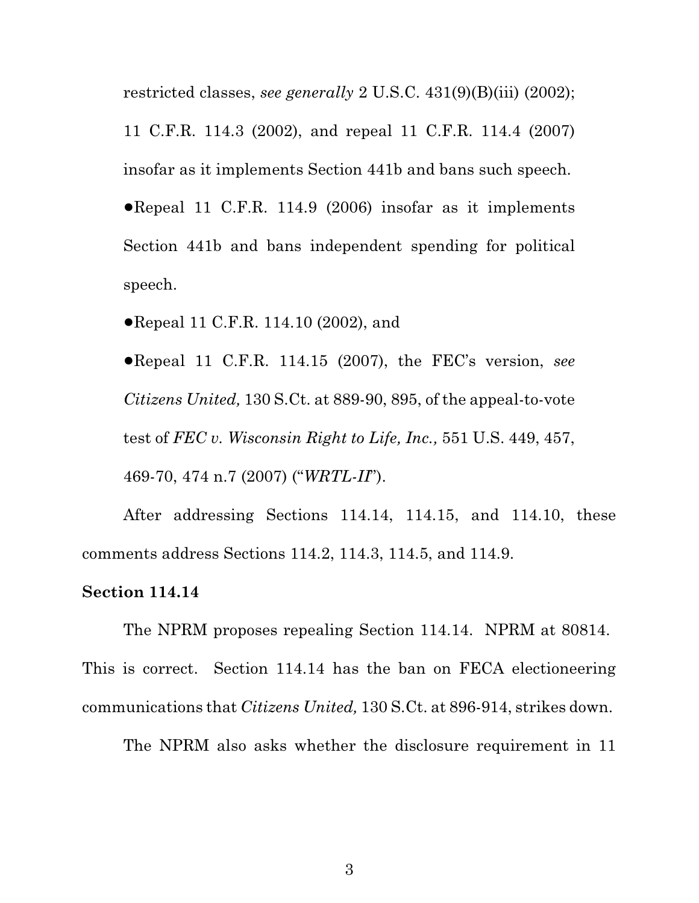restricted classes, *see generally* 2 U.S.C. 431(9)(B)(iii) (2002); 11 C.F.R. 114.3 (2002), and repeal 11 C.F.R. 114.4 (2007) insofar as it implements Section 441b and bans such speech.  $\bullet$ Repeal 11 C.F.R. 114.9 (2006) insofar as it implements Section 441b and bans independent spending for political speech.

• Repeal 11 C.F.R. 114.10 (2002), and

!Repeal 11 C.F.R. 114.15 (2007), the FEC's version, *see Citizens United,* 130 S.Ct. at 889-90, 895, of the appeal-to-vote test of *FEC v. Wisconsin Right to Life, Inc.,* 551 U.S. 449, 457, 469-70, 474 n.7 (2007) ("*WRTL-II*").

After addressing Sections 114.14, 114.15, and 114.10, these comments address Sections 114.2, 114.3, 114.5, and 114.9.

#### **Section 114.14**

The NPRM proposes repealing Section 114.14. NPRM at 80814. This is correct. Section 114.14 has the ban on FECA electioneering communications that *Citizens United,* 130 S.Ct. at 896-914, strikes down.

The NPRM also asks whether the disclosure requirement in 11

3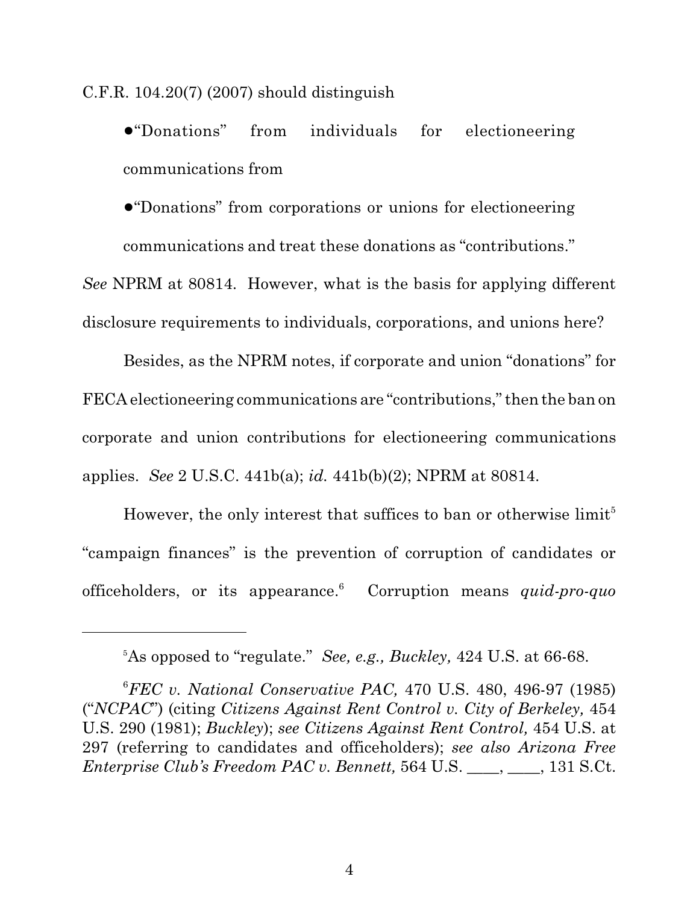C.F.R. 104.20(7) (2007) should distinguish

!"Donations" from individuals for electioneering communications from

!"Donations" from corporations or unions for electioneering communications and treat these donations as "contributions."

*See* NPRM at 80814. However, what is the basis for applying different disclosure requirements to individuals, corporations, and unions here?

Besides, as the NPRM notes, if corporate and union "donations" for FECA electioneering communications are "contributions,"then the ban on corporate and union contributions for electioneering communications applies. *See* 2 U.S.C. 441b(a); *id.* 441b(b)(2); NPRM at 80814.

However, the only interest that suffices to ban or otherwise  $\text{limit}^5$ "campaign finances" is the prevention of corruption of candidates or officeholders, or its appearance. Corruption means *quid-pro-quo* <sup>6</sup>

As opposed to "regulate." *See, e.g., Buckley,* 424 U.S. at 66-68. 5

*FEC v. National Conservative PAC,* 470 U.S. 480, 496-97 (1985) <sup>6</sup> ("*NCPAC*") (citing *Citizens Against Rent Control v. City of Berkeley,* 454 U.S. 290 (1981); *Buckley*); *see Citizens Against Rent Control,* 454 U.S. at 297 (referring to candidates and officeholders); *see also Arizona Free Enterprise Club's Freedom PAC v. Bennett,* 564 U.S. \_\_\_\_, \_\_\_\_, 131 S.Ct.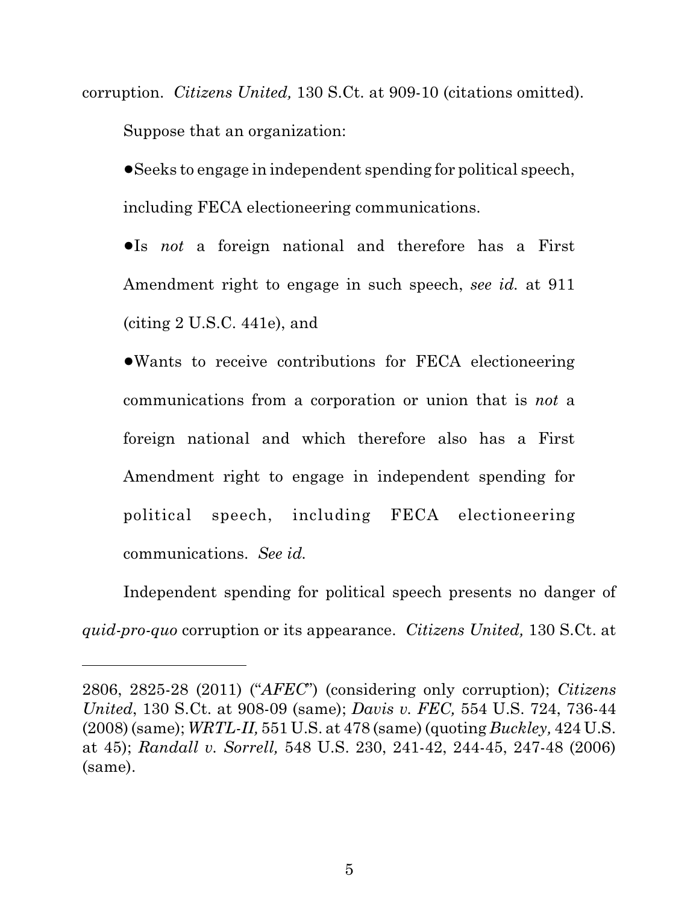corruption. *Citizens United,* 130 S.Ct. at 909-10 (citations omitted). Suppose that an organization:

!Seeks to engage in independent spending for political speech, including FECA electioneering communications.

!Is *not* a foreign national and therefore has a First Amendment right to engage in such speech, *see id.* at 911 (citing 2 U.S.C. 441e), and

!Wants to receive contributions for FECA electioneering communications from a corporation or union that is *not* a foreign national and which therefore also has a First Amendment right to engage in independent spending for political speech, including FECA electioneering communications. *See id.*

Independent spending for political speech presents no danger of *quid-pro-quo* corruption or its appearance. *Citizens United,* 130 S.Ct. at

<sup>2806, 2825-28 (2011) (&</sup>quot;*AFEC*") (considering only corruption); *Citizens United*, 130 S.Ct. at 908-09 (same); *Davis v. FEC,* 554 U.S. 724, 736-44 (2008) (same); *WRTL-II,* 551 U.S. at 478 (same) (quoting *Buckley,* 424 U.S. at 45); *Randall v. Sorrell,* 548 U.S. 230, 241-42, 244-45, 247-48 (2006) (same).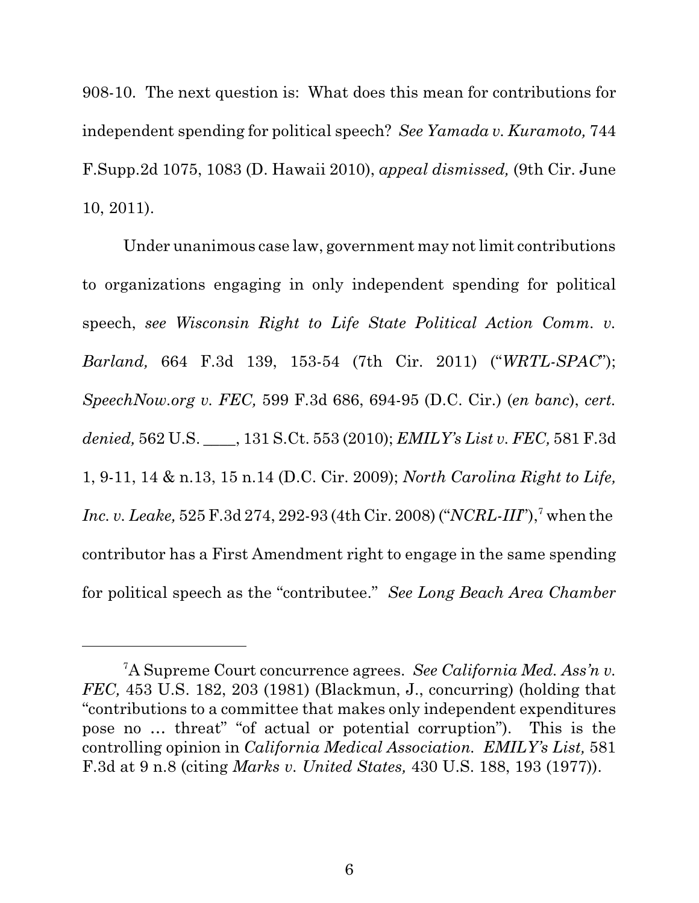908-10. The next question is: What does this mean for contributions for independent spending for political speech? *See Yamada v. Kuramoto,* 744 F.Supp.2d 1075, 1083 (D. Hawaii 2010), *appeal dismissed,* (9th Cir. June 10, 2011).

Under unanimous case law, government may not limit contributions to organizations engaging in only independent spending for political speech, *see Wisconsin Right to Life State Political Action Comm. v. Barland,* 664 F.3d 139, 153-54 (7th Cir. 2011) ("*WRTL-SPAC*"); *SpeechNow.org v. FEC,* 599 F.3d 686, 694-95 (D.C. Cir.) (*en banc*), *cert. denied,* 562 U.S. \_\_\_\_, 131 S.Ct. 553 (2010); *EMILY's List v. FEC,* 581 F.3d 1, 9-11, 14 & n.13, 15 n.14 (D.C. Cir. 2009); *North Carolina Right to Life, Inc. v. Leake,* 525 F.3d 274, 292-93 (4th Cir. 2008) ("*NCRL-III*"),<sup>7</sup> when the contributor has a First Amendment right to engage in the same spending for political speech as the "contributee." *See Long Beach Area Chamber*

A Supreme Court concurrence agrees. *See California Med. Ass'n v.* <sup>7</sup> *FEC,* 453 U.S. 182, 203 (1981) (Blackmun, J., concurring) (holding that "contributions to a committee that makes only independent expenditures pose no … threat" "of actual or potential corruption"). This is the controlling opinion in *California Medical Association. EMILY's List,* 581 F.3d at 9 n.8 (citing *Marks v. United States,* 430 U.S. 188, 193 (1977)).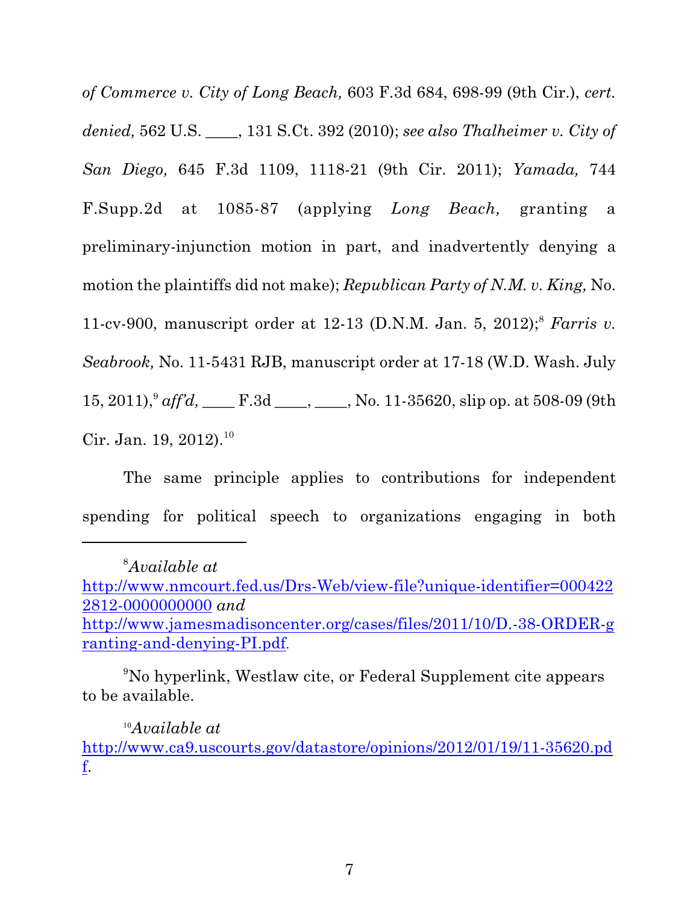*of Commerce v. City of Long Beach,* 603 F.3d 684, 698-99 (9th Cir.), *cert. denied,* 562 U.S. \_\_\_\_, 131 S.Ct. 392 (2010); *see also Thalheimer v. City of San Diego,* 645 F.3d 1109, 1118-21 (9th Cir. 2011); *Yamada,* 744 F.Supp.2d at 1085-87 (applying *Long Beach,* granting a preliminary-injunction motion in part, and inadvertently denying a motion the plaintiffs did not make); *Republican Party of N.M. v. King,* No. 11-cv-900, manuscript order at 12-13 (D.N.M. Jan. 5, 2012);<sup>8</sup> Farris v. *Seabrook,* No. 11-5431 RJB, manuscript order at 17-18 (W.D. Wash. July 15, 2011),<sup>9</sup> aff'd, \_\_\_\_\_F.3d \_\_\_\_, \_\_\_\_, No. 11-35620, slip op. at 508-09 (9th Cir. Jan. 19, 2012).<sup>10</sup>

The same principle applies to contributions for independent spending for political speech to organizations engaging in both

No hyperlink, Westlaw cite, or Federal Supplement cite appears <sup>9</sup> to be available.

<sup>10</sup>Available at

<sup>&</sup>lt;sup>8</sup>*Available at* 

[http://www.nmcourt.fed.us/Drs-Web/view-file?unique-identifier=000422](http://www.nmcourt.fed.us/Drs-Web/view-file?unique-identifier=0004222812-0000000000) [2812-0000000000](http://www.nmcourt.fed.us/Drs-Web/view-file?unique-identifier=0004222812-0000000000) *and*  [http://www.jamesmadisoncenter.org/cases/files/2011/10/D.-38-ORDER-g](http://www.jamesmadisoncenter.org/cases/files/2011/10/D.-38-ORDER-granting-and-denying-PI.pdf) [ranting-and-denying-PI.pdf](http://www.jamesmadisoncenter.org/cases/files/2011/10/D.-38-ORDER-granting-and-denying-PI.pdf).

[http://www.ca9.uscourts.gov/datastore/opinions/2012/01/19/11-35620.pd](http://www.ca9.uscourts.gov/datastore/opinions/2012/01/19/11-35620.pdf) [f](http://www.ca9.uscourts.gov/datastore/opinions/2012/01/19/11-35620.pdf).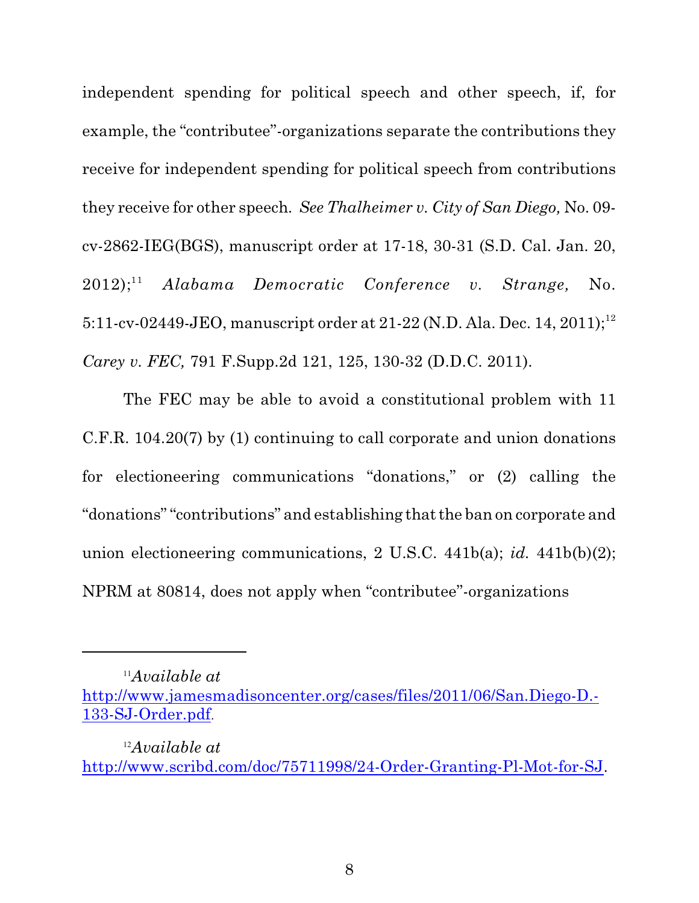independent spending for political speech and other speech, if, for example, the "contributee"-organizations separate the contributions they receive for independent spending for political speech from contributions they receive for other speech*. See Thalheimer v. City of San Diego,* No. 09 cv-2862-IEG(BGS), manuscript order at 17-18, 30-31 (S.D. Cal. Jan. 20, 2012); *Alabama Democratic Conference v. Strange,* No.  $2012$ ;<sup>11</sup> 5:11-cv-02449-JEO, manuscript order at 21-22 (N.D. Ala. Dec. 14, 2011);<sup>12</sup> *Carey v. FEC,* 791 F.Supp.2d 121, 125, 130-32 (D.D.C. 2011).

The FEC may be able to avoid a constitutional problem with 11 C.F.R. 104.20(7) by (1) continuing to call corporate and union donations for electioneering communications "donations," or (2) calling the "donations" "contributions" and establishing that the ban on corporate and union electioneering communications, 2 U.S.C. 441b(a); *id.* 441b(b)(2); NPRM at 80814, does not apply when "contributee"-organizations

*Available at* <sup>11</sup>

[http://www.jamesmadisoncenter.org/cases/files/2011/06/San.Diego-D.-](#page-8-0) [133-SJ-Order.pdf](#page-8-0).

<span id="page-8-0"></span>*Available at* <sup>12</sup> <http://www.scribd.com/doc/75711998/24-Order-Granting-Pl-Mot-for-SJ>.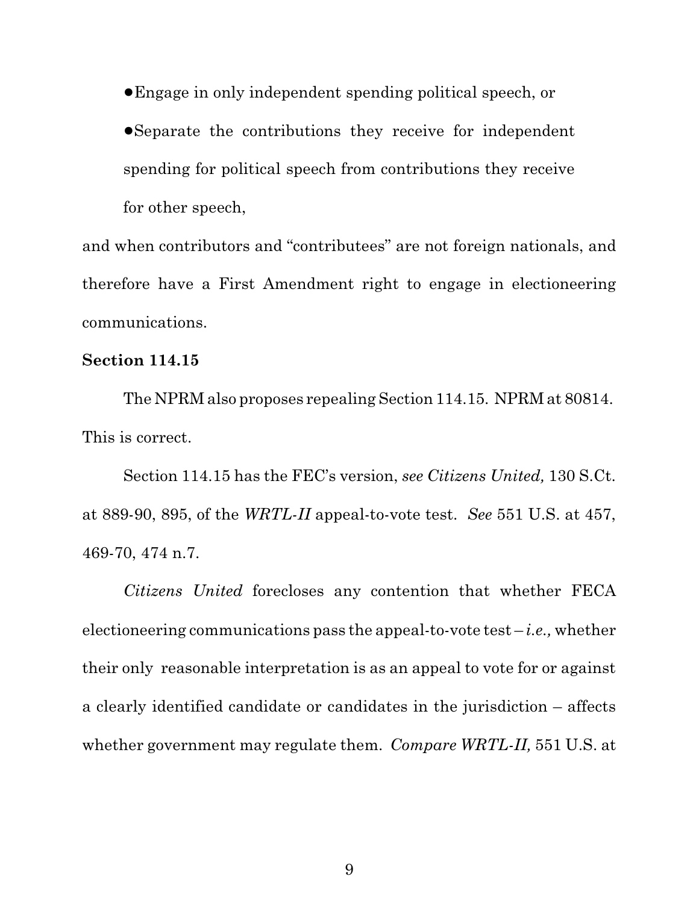!Engage in only independent spending political speech, or

!Separate the contributions they receive for independent spending for political speech from contributions they receive for other speech,

and when contributors and "contributees" are not foreign nationals, and therefore have a First Amendment right to engage in electioneering communications.

# **Section 114.15**

The NPRM also proposes repealing Section 114.15. NPRM at 80814. This is correct.

Section 114.15 has the FEC's version, *see Citizens United,* 130 S.Ct. at 889-90, 895, of the *WRTL-II* appeal-to-vote test. *See* 551 U.S. at 457, 469-70, 474 n.7.

*Citizens United* forecloses any contention that whether FECA electioneering communications pass the appeal-to-vote test – *i.e.,* whether their only reasonable interpretation is as an appeal to vote for or against a clearly identified candidate or candidates in the jurisdiction – affects whether government may regulate them. *Compare WRTL-II,* 551 U.S. at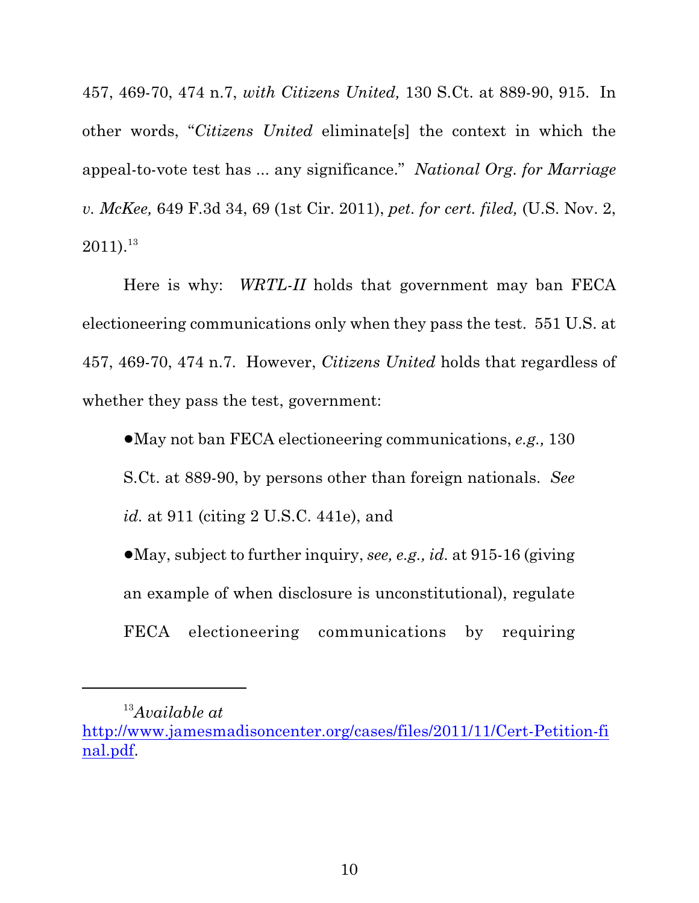457, 469-70, 474 n.7, *with Citizens United,* 130 S.Ct. at 889-90, 915. In other words, "*Citizens United* eliminate[s] the context in which the appeal-to-vote test has ... any significance." *National Org. for Marriage v. McKee,* 649 F.3d 34, 69 (1st Cir. 2011), *pet. for cert. filed,* (U.S. Nov. 2,  $2011$ ).<sup>13</sup>

Here is why: *WRTL-II* holds that government may ban FECA electioneering communications only when they pass the test. 551 U.S. at 457, 469-70, 474 n.7. However, *Citizens United* holds that regardless of whether they pass the test, government:

!May not ban FECA electioneering communications, *e.g.,* 130 S.Ct. at 889-90, by persons other than foreign nationals. *See id.* at 911 (citing 2 U.S.C. 441e), and

!May, subject to further inquiry, *see, e.g., id.* at 915-16 (giving an example of when disclosure is unconstitutional), regulate FECA electioneering communications by requiring

<sup>&</sup>lt;sup>13</sup>Available at

[http://www.jamesmadisoncenter.org/cases/files/2011/11/Cert-Petition-fi](http://www.jamesmadisoncenter.org/cases/files/2011/11/Cert-Petition-final.pdf) [nal.pdf](http://www.jamesmadisoncenter.org/cases/files/2011/11/Cert-Petition-final.pdf).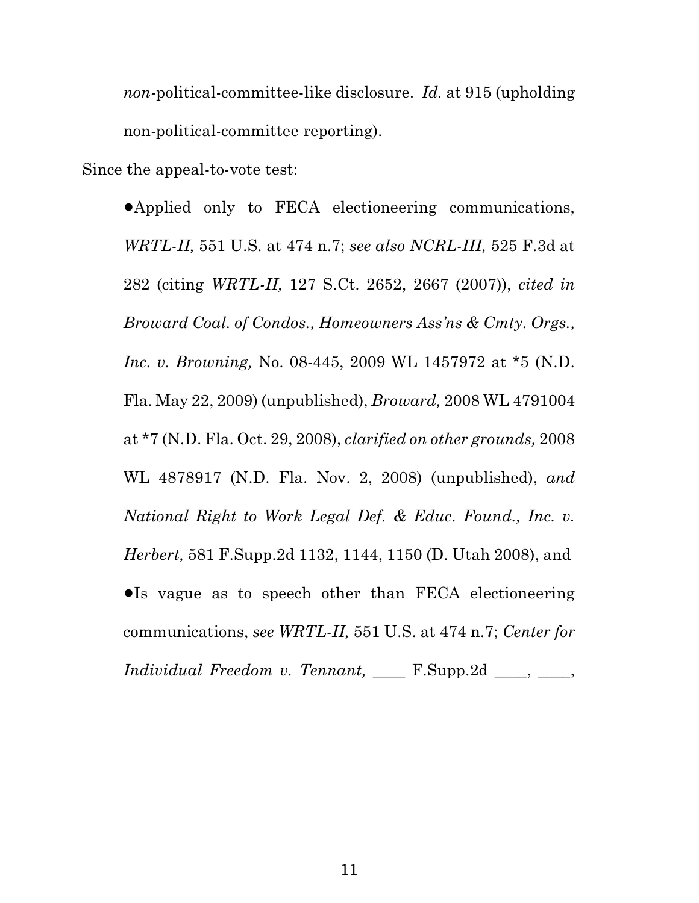*non-*political-committee-like disclosure. *Id.* at 915 (upholding non-political-committee reporting).

Since the appeal-to-vote test:

!Applied only to FECA electioneering communications, *WRTL-II,* 551 U.S. at 474 n.7; *see also NCRL-III,* 525 F.3d at 282 (citing *WRTL-II,* 127 S.Ct. 2652, 2667 (2007)), *cited in Broward Coal. of Condos., Homeowners Ass'ns & Cmty. Orgs., Inc. v. Browning,* No. 08-445, 2009 WL 1457972 at \*5 (N.D. Fla. May 22, 2009) (unpublished), *Broward,* 2008 WL 4791004 at \*7 (N.D. Fla. Oct. 29, 2008), *clarified on other grounds,* 2008 WL 4878917 (N.D. Fla. Nov. 2, 2008) (unpublished), *and National Right to Work Legal Def. & Educ. Found., Inc. v. Herbert,* 581 F.Supp.2d 1132, 1144, 1150 (D. Utah 2008), and •Is vague as to speech other than FECA electioneering communications, *see WRTL-II,* 551 U.S. at 474 n.7; *Center for Individual Freedom v. Tennant,* \_\_\_\_ F.Supp.2d \_\_\_\_, \_\_\_\_,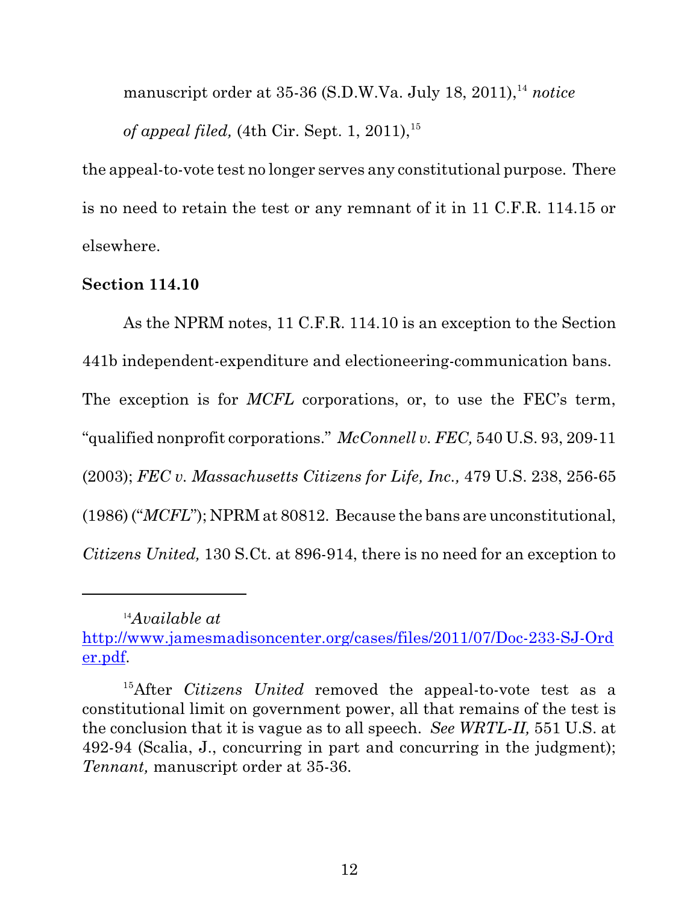manuscript order at 35-36 (S.D.W.Va. July 18, 2011),<sup>14</sup> notice *of appeal filed,* (4th Cir. Sept. 1, 2011),<sup>15</sup>

the appeal-to-vote test no longer serves any constitutional purpose. There is no need to retain the test or any remnant of it in 11 C.F.R. 114.15 or elsewhere.

## **Section 114.10**

As the NPRM notes, 11 C.F.R. 114.10 is an exception to the Section 441b independent-expenditure and electioneering-communication bans. The exception is for *MCFL* corporations, or, to use the FEC's term, "qualified nonprofit corporations." *McConnell v. FEC,* 540 U.S. 93, 209-11 (2003); *FEC v. Massachusetts Citizens for Life, Inc.,* 479 U.S. 238, 256-65 (1986) ("*MCFL*"); NPRM at 80812. Because the bans are unconstitutional, *Citizens United,* 130 S.Ct. at 896-914, there is no need for an exception to

*Available at* <sup>14</sup> [http://www.jamesmadisoncenter.org/cases/files/2011/07/Doc-233-SJ-Ord](http://www.jamesmadisoncenter.org/cases/files/2011/07/Doc-233-SJ-Order.pdf) [er.pdf](http://www.jamesmadisoncenter.org/cases/files/2011/07/Doc-233-SJ-Order.pdf).

<sup>&</sup>lt;sup>15</sup>After *Citizens United* removed the appeal-to-vote test as a constitutional limit on government power, all that remains of the test is the conclusion that it is vague as to all speech. *See WRTL-II,* 551 U.S. at 492-94 (Scalia, J., concurring in part and concurring in the judgment); *Tennant,* manuscript order at 35-36.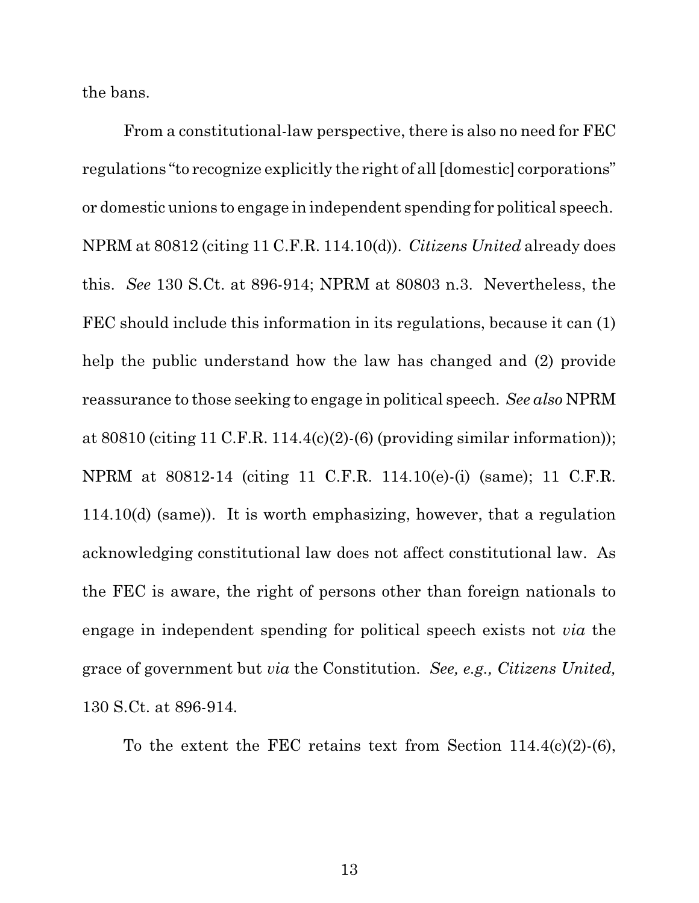the bans.

From a constitutional-law perspective, there is also no need for FEC regulations "to recognize explicitly the right of all [domestic] corporations" or domestic unions to engage in independent spending for political speech. NPRM at 80812 (citing 11 C.F.R. 114.10(d)). *Citizens United* already does this. *See* 130 S.Ct. at 896-914; NPRM at 80803 n.3. Nevertheless, the FEC should include this information in its regulations, because it can (1) help the public understand how the law has changed and (2) provide reassurance to those seeking to engage in political speech. *See also* NPRM at  $80810$  (citing 11 C.F.R. 114.4(c)(2)-(6) (providing similar information)); NPRM at 80812-14 (citing 11 C.F.R. 114.10(e)-(i) (same); 11 C.F.R. 114.10(d) (same)). It is worth emphasizing, however, that a regulation acknowledging constitutional law does not affect constitutional law. As the FEC is aware, the right of persons other than foreign nationals to engage in independent spending for political speech exists not *via* the grace of government but *via* the Constitution. *See, e.g., Citizens United,* 130 S.Ct. at 896-914*.*

To the extent the FEC retains text from Section 114.4(c)(2)-(6),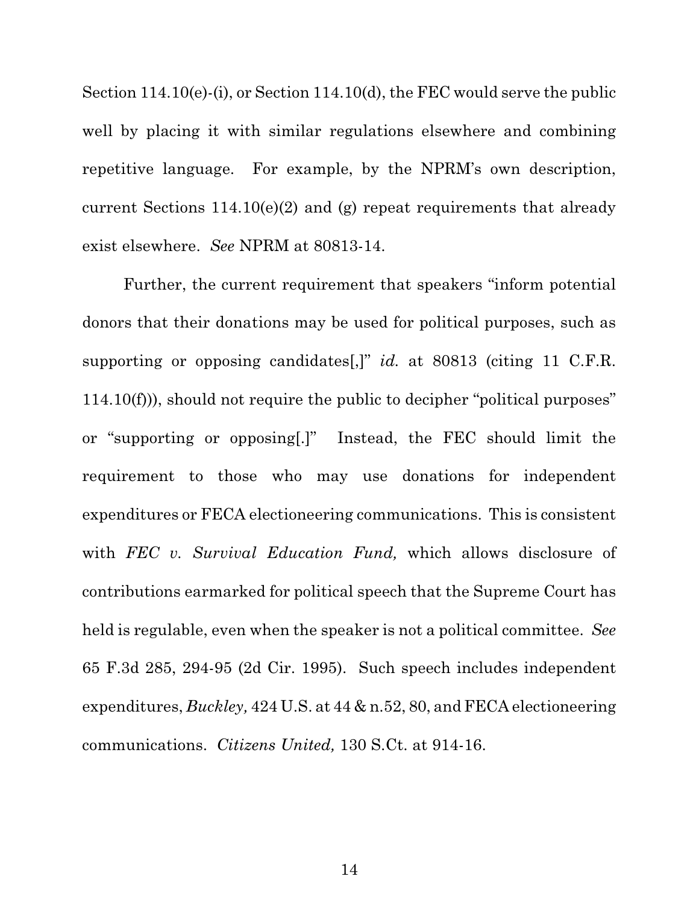Section 114.10(e)-(i), or Section 114.10(d), the FEC would serve the public well by placing it with similar regulations elsewhere and combining repetitive language. For example, by the NPRM's own description, current Sections  $114.10(e)(2)$  and (g) repeat requirements that already exist elsewhere. *See* NPRM at 80813-14.

Further, the current requirement that speakers "inform potential donors that their donations may be used for political purposes, such as supporting or opposing candidates[,]" *id.* at 80813 (citing 11 C.F.R. 114.10(f))), should not require the public to decipher "political purposes" or "supporting or opposing[.]" Instead, the FEC should limit the requirement to those who may use donations for independent expenditures or FECA electioneering communications. This is consistent with *FEC v. Survival Education Fund,* which allows disclosure of contributions earmarked for political speech that the Supreme Court has held is regulable, even when the speaker is not a political committee. *See* 65 F.3d 285, 294-95 (2d Cir. 1995). Such speech includes independent expenditures, *Buckley,* 424 U.S. at 44 & n.52, 80, and FECA electioneering communications. *Citizens United,* 130 S.Ct. at 914-16.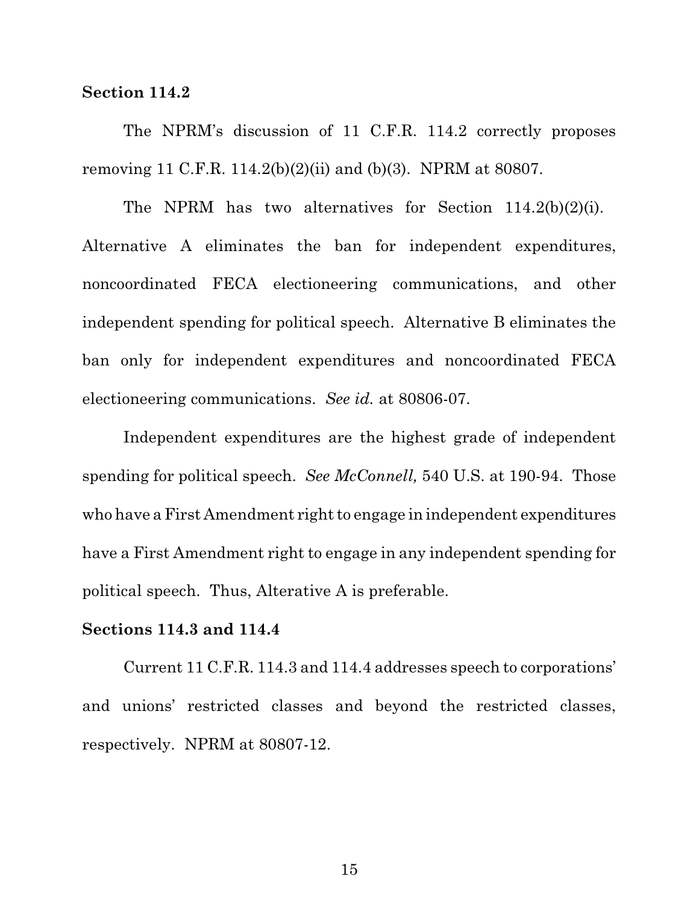### **Section 114.2**

The NPRM's discussion of 11 C.F.R. 114.2 correctly proposes removing 11 C.F.R. 114.2(b)(2)(ii) and (b)(3). NPRM at 80807.

The NPRM has two alternatives for Section 114.2(b)(2)(i). Alternative A eliminates the ban for independent expenditures, noncoordinated FECA electioneering communications, and other independent spending for political speech. Alternative B eliminates the ban only for independent expenditures and noncoordinated FECA electioneering communications. *See id.* at 80806-07.

Independent expenditures are the highest grade of independent spending for political speech. *See McConnell,* 540 U.S. at 190-94. Those who have a First Amendment right to engage in independent expenditures have a First Amendment right to engage in any independent spending for political speech. Thus, Alterative A is preferable.

### **Sections 114.3 and 114.4**

Current 11 C.F.R. 114.3 and 114.4 addresses speech to corporations' and unions' restricted classes and beyond the restricted classes, respectively. NPRM at 80807-12.

15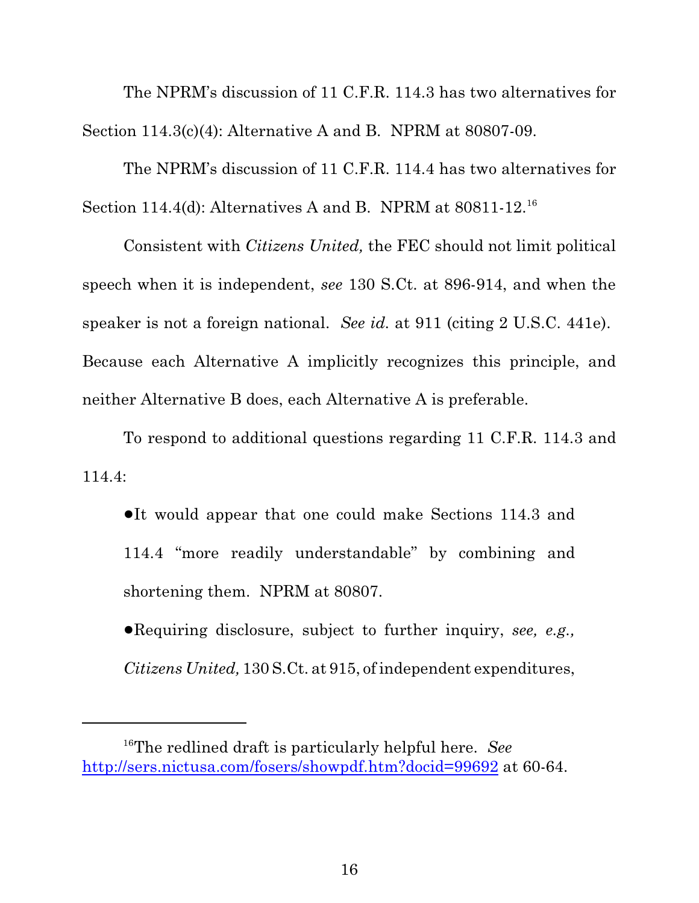The NPRM's discussion of 11 C.F.R. 114.3 has two alternatives for Section 114.3(c)(4): Alternative A and B. NPRM at 80807-09.

The NPRM's discussion of 11 C.F.R. 114.4 has two alternatives for Section 114.4(d): Alternatives A and B. NPRM at  $80811-12$ <sup>16</sup>

Consistent with *Citizens United,* the FEC should not limit political speech when it is independent, *see* 130 S.Ct. at 896-914, and when the speaker is not a foreign national. *See id.* at 911 (citing 2 U.S.C. 441e). Because each Alternative A implicitly recognizes this principle, and neither Alternative B does, each Alternative A is preferable.

To respond to additional questions regarding 11 C.F.R. 114.3 and 114.4:

•It would appear that one could make Sections 114.3 and 114.4 "more readily understandable" by combining and shortening them. NPRM at 80807.

!Requiring disclosure, subject to further inquiry, *see, e.g., Citizens United,* 130 S.Ct. at 915, of independent expenditures,

<sup>&</sup>lt;sup>16</sup>The redlined draft is particularly helpful here. *See* <http://sers.nictusa.com/fosers/showpdf.htm?docid=99692> at 60-64.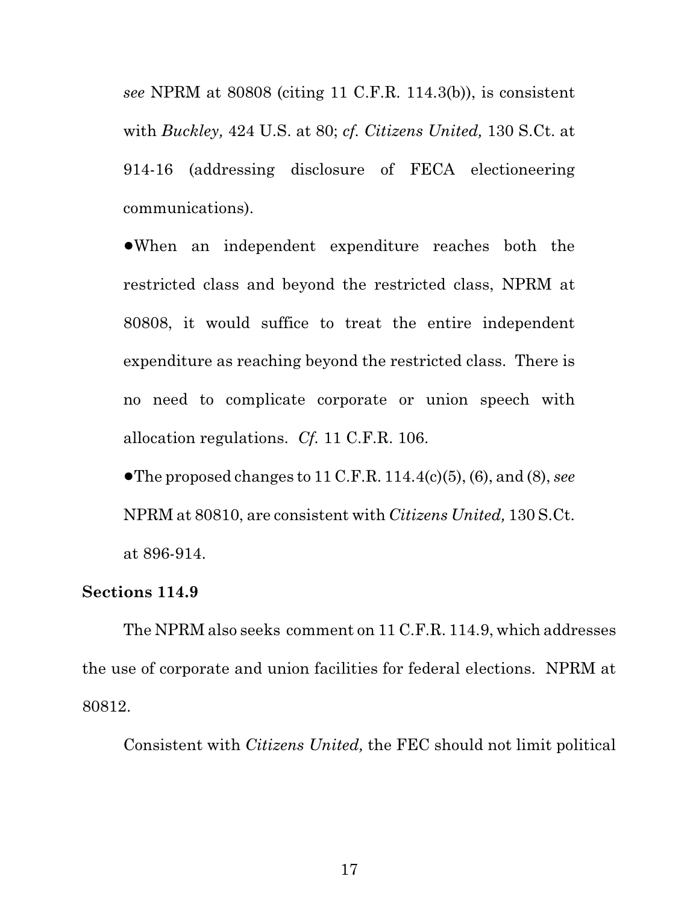*see* NPRM at 80808 (citing 11 C.F.R. 114.3(b)), is consistent with *Buckley,* 424 U.S. at 80; *cf. Citizens United,* 130 S.Ct. at 914-16 (addressing disclosure of FECA electioneering communications).

!When an independent expenditure reaches both the restricted class and beyond the restricted class, NPRM at 80808, it would suffice to treat the entire independent expenditure as reaching beyond the restricted class. There is no need to complicate corporate or union speech with allocation regulations. *Cf.* 11 C.F.R. 106.

 $\bullet$  The proposed changes to 11 C.F.R. 114.4(c)(5), (6), and (8), *see* NPRM at 80810, are consistent with *Citizens United,* 130 S.Ct. at 896-914.

## **Sections 114.9**

The NPRM also seeks comment on 11 C.F.R. 114.9, which addresses the use of corporate and union facilities for federal elections. NPRM at 80812.

Consistent with *Citizens United,* the FEC should not limit political